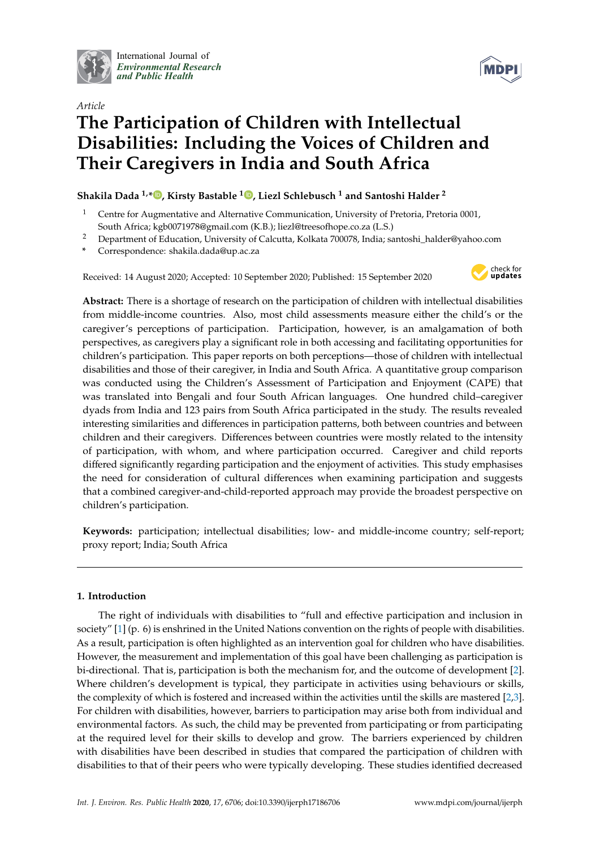

International Journal of *Environmental Research and Public Health*





# **The Participation of Children with Intellectual Disabilities: Including the Voices of Children and Their Caregivers in India and South Africa**

# **Shakila Dada 1,\* , Kirsty Bastable <sup>1</sup> , Liezl Schlebusch <sup>1</sup> and Santoshi Halder <sup>2</sup>**

- <sup>1</sup> Centre for Augmentative and Alternative Communication, University of Pretoria, Pretoria 0001, South Africa; kgb0071978@gmail.com (K.B.); liezl@treesofhope.co.za (L.S.)
- <sup>2</sup> Department of Education, University of Calcutta, Kolkata 700078, India; santoshi\_halder@yahoo.com
- **\*** Correspondence: shakila.dada@up.ac.za

Received: 14 August 2020; Accepted: 10 September 2020; Published: 15 September 2020



**Abstract:** There is a shortage of research on the participation of children with intellectual disabilities from middle-income countries. Also, most child assessments measure either the child's or the caregiver's perceptions of participation. Participation, however, is an amalgamation of both perspectives, as caregivers play a significant role in both accessing and facilitating opportunities for children's participation. This paper reports on both perceptions—those of children with intellectual disabilities and those of their caregiver, in India and South Africa. A quantitative group comparison was conducted using the Children's Assessment of Participation and Enjoyment (CAPE) that was translated into Bengali and four South African languages. One hundred child–caregiver dyads from India and 123 pairs from South Africa participated in the study. The results revealed interesting similarities and differences in participation patterns, both between countries and between children and their caregivers. Differences between countries were mostly related to the intensity of participation, with whom, and where participation occurred. Caregiver and child reports differed significantly regarding participation and the enjoyment of activities. This study emphasises the need for consideration of cultural differences when examining participation and suggests that a combined caregiver-and-child-reported approach may provide the broadest perspective on children's participation.

**Keywords:** participation; intellectual disabilities; low- and middle-income country; self-report; proxy report; India; South Africa

# **1. Introduction**

The right of individuals with disabilities to "full and effective participation and inclusion in society" [1] (p. 6) is enshrined in the United Nations convention on the rights of people with disabilities. As a result, participation is often highlighted as an intervention goal for children who have disabilities. However, the measurement and implementation of this goal have been challenging as participation is bi-directional. That is, participation is both the mechanism for, and the outcome of development [2]. Where children's development is typical, they participate in activities using behaviours or skills, the complexity of which is fostered and increased within the activities until the skills are mastered [2,3]. For children with disabilities, however, barriers to participation may arise both from individual and environmental factors. As such, the child may be prevented from participating or from participating at the required level for their skills to develop and grow. The barriers experienced by children with disabilities have been described in studies that compared the participation of children with disabilities to that of their peers who were typically developing. These studies identified decreased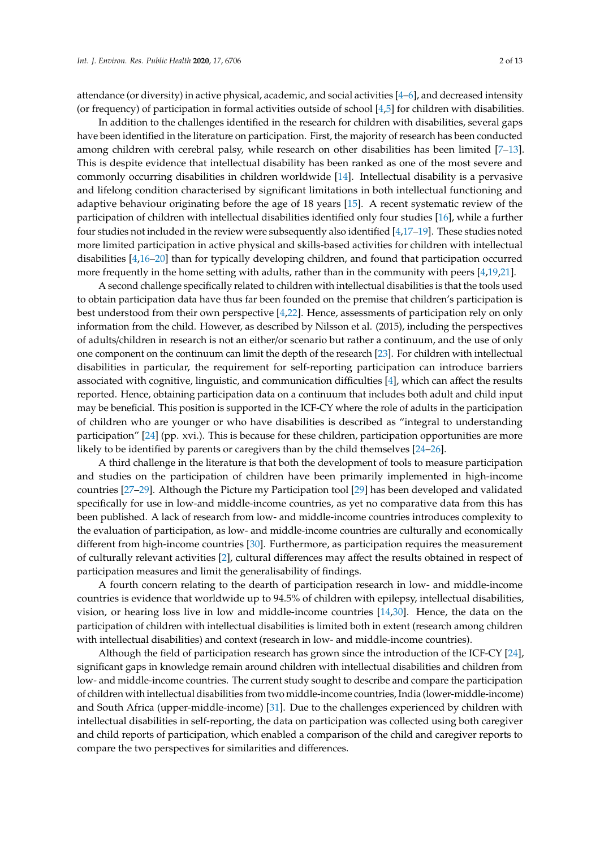attendance (or diversity) in active physical, academic, and social activities [4–6], and decreased intensity (or frequency) of participation in formal activities outside of school  $[4,5]$  for children with disabilities.

In addition to the challenges identified in the research for children with disabilities, several gaps have been identified in the literature on participation. First, the majority of research has been conducted among children with cerebral palsy, while research on other disabilities has been limited [7–13]. This is despite evidence that intellectual disability has been ranked as one of the most severe and commonly occurring disabilities in children worldwide [14]. Intellectual disability is a pervasive and lifelong condition characterised by significant limitations in both intellectual functioning and adaptive behaviour originating before the age of 18 years [15]. A recent systematic review of the participation of children with intellectual disabilities identified only four studies [16], while a further four studies not included in the review were subsequently also identified [4,17–19]. These studies noted more limited participation in active physical and skills-based activities for children with intellectual disabilities [4,16–20] than for typically developing children, and found that participation occurred more frequently in the home setting with adults, rather than in the community with peers [4,19,21].

A second challenge specifically related to children with intellectual disabilities is that the tools used to obtain participation data have thus far been founded on the premise that children's participation is best understood from their own perspective [4,22]. Hence, assessments of participation rely on only information from the child. However, as described by Nilsson et al. (2015), including the perspectives of adults/children in research is not an either/or scenario but rather a continuum, and the use of only one component on the continuum can limit the depth of the research [23]. For children with intellectual disabilities in particular, the requirement for self-reporting participation can introduce barriers associated with cognitive, linguistic, and communication difficulties [4], which can affect the results reported. Hence, obtaining participation data on a continuum that includes both adult and child input may be beneficial. This position is supported in the ICF-CY where the role of adults in the participation of children who are younger or who have disabilities is described as "integral to understanding participation" [24] (pp. xvi.). This is because for these children, participation opportunities are more likely to be identified by parents or caregivers than by the child themselves [24–26].

A third challenge in the literature is that both the development of tools to measure participation and studies on the participation of children have been primarily implemented in high-income countries [27–29]. Although the Picture my Participation tool [29] has been developed and validated specifically for use in low-and middle-income countries, as yet no comparative data from this has been published. A lack of research from low- and middle-income countries introduces complexity to the evaluation of participation, as low- and middle-income countries are culturally and economically different from high-income countries [30]. Furthermore, as participation requires the measurement of culturally relevant activities [2], cultural differences may affect the results obtained in respect of participation measures and limit the generalisability of findings.

A fourth concern relating to the dearth of participation research in low- and middle-income countries is evidence that worldwide up to 94.5% of children with epilepsy, intellectual disabilities, vision, or hearing loss live in low and middle-income countries [14,30]. Hence, the data on the participation of children with intellectual disabilities is limited both in extent (research among children with intellectual disabilities) and context (research in low- and middle-income countries).

Although the field of participation research has grown since the introduction of the ICF-CY [24], significant gaps in knowledge remain around children with intellectual disabilities and children from low- and middle-income countries. The current study sought to describe and compare the participation of children with intellectual disabilities from two middle-income countries, India (lower-middle-income) and South Africa (upper-middle-income) [31]. Due to the challenges experienced by children with intellectual disabilities in self-reporting, the data on participation was collected using both caregiver and child reports of participation, which enabled a comparison of the child and caregiver reports to compare the two perspectives for similarities and differences.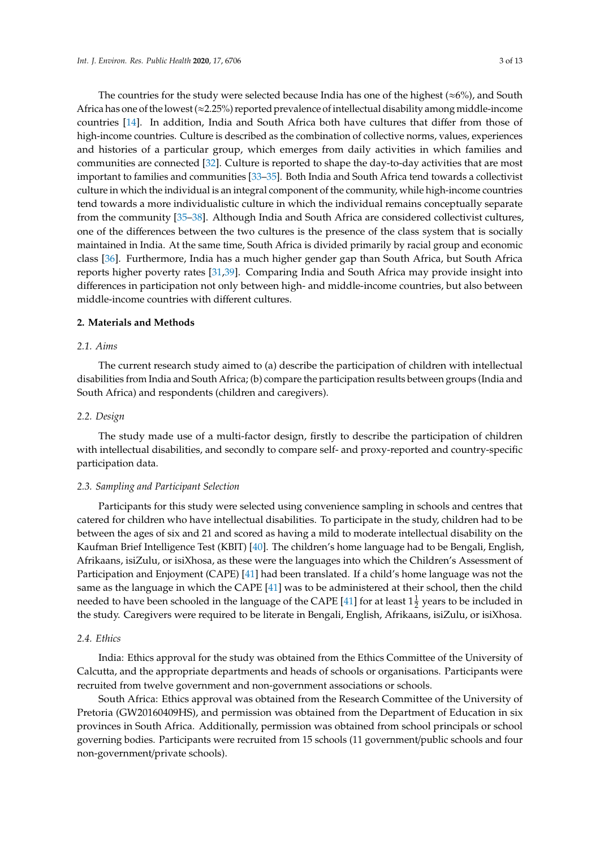The countries for the study were selected because India has one of the highest ( $\approx 6\%$ ), and South Africa has one of the lowest (≈2.25%) reported prevalence of intellectual disability among middle-income countries [14]. In addition, India and South Africa both have cultures that differ from those of high-income countries. Culture is described as the combination of collective norms, values, experiences and histories of a particular group, which emerges from daily activities in which families and communities are connected [32]. Culture is reported to shape the day-to-day activities that are most important to families and communities [33–35]. Both India and South Africa tend towards a collectivist culture in which the individual is an integral component of the community, while high-income countries tend towards a more individualistic culture in which the individual remains conceptually separate from the community [35–38]. Although India and South Africa are considered collectivist cultures, one of the differences between the two cultures is the presence of the class system that is socially maintained in India. At the same time, South Africa is divided primarily by racial group and economic class [36]. Furthermore, India has a much higher gender gap than South Africa, but South Africa reports higher poverty rates [31,39]. Comparing India and South Africa may provide insight into differences in participation not only between high- and middle-income countries, but also between middle-income countries with different cultures.

# **2. Materials and Methods**

## *2.1. Aims*

The current research study aimed to (a) describe the participation of children with intellectual disabilities from India and South Africa; (b) compare the participation results between groups (India and South Africa) and respondents (children and caregivers).

#### *2.2. Design*

The study made use of a multi-factor design, firstly to describe the participation of children with intellectual disabilities, and secondly to compare self- and proxy-reported and country-specific participation data.

#### *2.3. Sampling and Participant Selection*

Participants for this study were selected using convenience sampling in schools and centres that catered for children who have intellectual disabilities. To participate in the study, children had to be between the ages of six and 21 and scored as having a mild to moderate intellectual disability on the Kaufman Brief Intelligence Test (KBIT) [40]. The children's home language had to be Bengali, English, Afrikaans, isiZulu, or isiXhosa, as these were the languages into which the Children's Assessment of Participation and Enjoyment (CAPE) [41] had been translated. If a child's home language was not the same as the language in which the CAPE [41] was to be administered at their school, then the child needed to have been schooled in the language of the CAPE [41] for at least  $1\frac{1}{2}$  years to be included in the study. Caregivers were required to be literate in Bengali, English, Afrikaans, isiZulu, or isiXhosa.

#### *2.4. Ethics*

India: Ethics approval for the study was obtained from the Ethics Committee of the University of Calcutta, and the appropriate departments and heads of schools or organisations. Participants were recruited from twelve government and non-government associations or schools.

South Africa: Ethics approval was obtained from the Research Committee of the University of Pretoria (GW20160409HS), and permission was obtained from the Department of Education in six provinces in South Africa. Additionally, permission was obtained from school principals or school governing bodies. Participants were recruited from 15 schools (11 government/public schools and four non-government/private schools).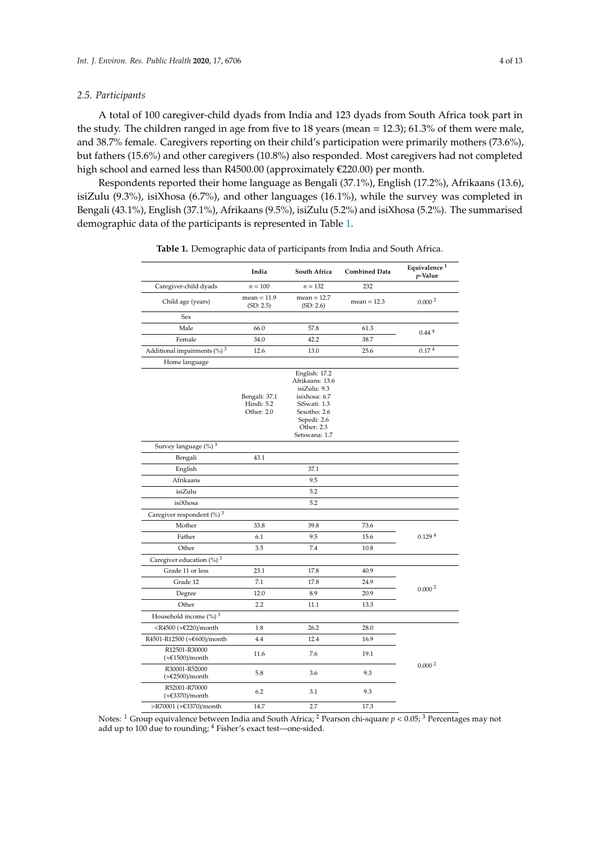#### *2.5. Participants*

A total of 100 caregiver-child dyads from India and 123 dyads from South Africa took part in the study. The children ranged in age from five to 18 years (mean = 12.3); 61.3% of them were male, and 38.7% female. Caregivers reporting on their child's participation were primarily mothers (73.6%), but fathers (15.6%) and other caregivers (10.8%) also responded. Most caregivers had not completed high school and earned less than R4500.00 (approximately €220.00) per month.

Respondents reported their home language as Bengali (37.1%), English (17.2%), Afrikaans (13.6), isiZulu (9.3%), isiXhosa (6.7%), and other languages (16.1%), while the survey was completed in Bengali (43.1%), English (37.1%), Afrikaans (9.5%), isiZulu (5.2%) and isiXhosa (5.2%). The summarised demographic data of the participants is represented in Table 1.

|                                                                                           | India                                     | South Africa                                                                                                                                    | <b>Combined Data</b> | Equivalence <sup>1</sup><br>p-Value |  |
|-------------------------------------------------------------------------------------------|-------------------------------------------|-------------------------------------------------------------------------------------------------------------------------------------------------|----------------------|-------------------------------------|--|
| Caregiver-child dyads                                                                     | $n=100$                                   | $n = 132$                                                                                                                                       | 232                  |                                     |  |
| Child age (years)                                                                         | $mean = 11.9$<br>(SD: 2.5)                | $mean = 12.7$<br>(SD: 2.6)                                                                                                                      | $mean = 12.3$        | 0.000 <sup>2</sup>                  |  |
| Sex                                                                                       |                                           |                                                                                                                                                 |                      |                                     |  |
| Male                                                                                      | 66.0                                      | 57.8                                                                                                                                            | 61.3                 | 0.44 <sup>4</sup>                   |  |
| Female                                                                                    | 34.0                                      | 42.2                                                                                                                                            | 38.7                 |                                     |  |
| Additional impairments $(\%)$ $^3$                                                        | 12.6                                      | 13.0                                                                                                                                            | 25.6                 | $0.17^{4}$                          |  |
| Home language                                                                             |                                           |                                                                                                                                                 |                      |                                     |  |
|                                                                                           | Bengali: 37.1<br>Hindi: 5.2<br>Other: 2.0 | English: 17.2<br>Afrikaans: 13.6<br>isiZulu: 9.3<br>isixhosa: 6.7<br>SiSwati: 1.3<br>Sesotho: 2.6<br>Sepedi: 2.6<br>Other: 2.3<br>Setswana: 1.7 |                      |                                     |  |
| Survey language $(\%)$ $^3$                                                               |                                           |                                                                                                                                                 |                      |                                     |  |
| Bengali                                                                                   | 43.1                                      |                                                                                                                                                 |                      |                                     |  |
| English                                                                                   |                                           | 37.1                                                                                                                                            |                      |                                     |  |
| Afrikaans                                                                                 |                                           | 9.5                                                                                                                                             |                      |                                     |  |
| isiZulu                                                                                   |                                           | 5.2                                                                                                                                             |                      |                                     |  |
| isiXhosa                                                                                  |                                           | 5.2                                                                                                                                             |                      |                                     |  |
| Caregiver respondent $(\%)$ <sup>3</sup>                                                  |                                           |                                                                                                                                                 |                      |                                     |  |
| Mother                                                                                    | 33.8                                      | 39.8                                                                                                                                            | 73.6                 |                                     |  |
| Father                                                                                    | 6.1                                       | 9.5                                                                                                                                             | 15.6                 | 0.129 <sup>4</sup>                  |  |
| Other                                                                                     | 3.5                                       | 7.4                                                                                                                                             | 10.8                 |                                     |  |
| Caregiver education (%) <sup>3</sup>                                                      |                                           |                                                                                                                                                 |                      |                                     |  |
| Grade 11 or less                                                                          | 23.1                                      | 17.8                                                                                                                                            | 40.9                 |                                     |  |
| Grade 12                                                                                  | 7.1                                       | 17.8                                                                                                                                            | 24.9                 |                                     |  |
| Degree                                                                                    | 12.0                                      | 8.9                                                                                                                                             | 20.9                 | 0.000 <sup>2</sup>                  |  |
| Other                                                                                     | 2.2<br>11.1<br>13.3                       |                                                                                                                                                 |                      |                                     |  |
| Household income (%) <sup>3</sup>                                                         |                                           |                                                                                                                                                 |                      |                                     |  |
| <r4500 (≈€220)="" month<="" td=""><td>1.8</td><td>26.2</td><td>28.0</td><td></td></r4500> | 1.8                                       | 26.2                                                                                                                                            | 28.0                 |                                     |  |
| R4501-R12500 (≈€600)/month                                                                | 4.4                                       | 12.4                                                                                                                                            | 16.9                 |                                     |  |
| R12501-R30000<br>(≈€1500)/month                                                           | 11.6                                      | 7.6                                                                                                                                             | 19.1                 |                                     |  |
| R30001-R52000<br>(≈€2500)/month                                                           | 5.8                                       | 3.6                                                                                                                                             | 9.3                  | 0.0002                              |  |
| R52001-R70000<br>(≈€3370)/month                                                           | 6.2                                       | 3.1                                                                                                                                             | 9.3                  |                                     |  |
| >R70001 (≈€3370)/month                                                                    | 14.7                                      | 2.7                                                                                                                                             | 17.3                 |                                     |  |

**Table 1.** Demographic data of participants from India and South Africa.

Notes: <sup>1</sup> Group equivalence between India and South Africa; <sup>2</sup> Pearson chi-square *p* < 0.05; <sup>3</sup> Percentages may not add up to 100 due to rounding; <sup>4</sup> Fisher's exact test—one-sided.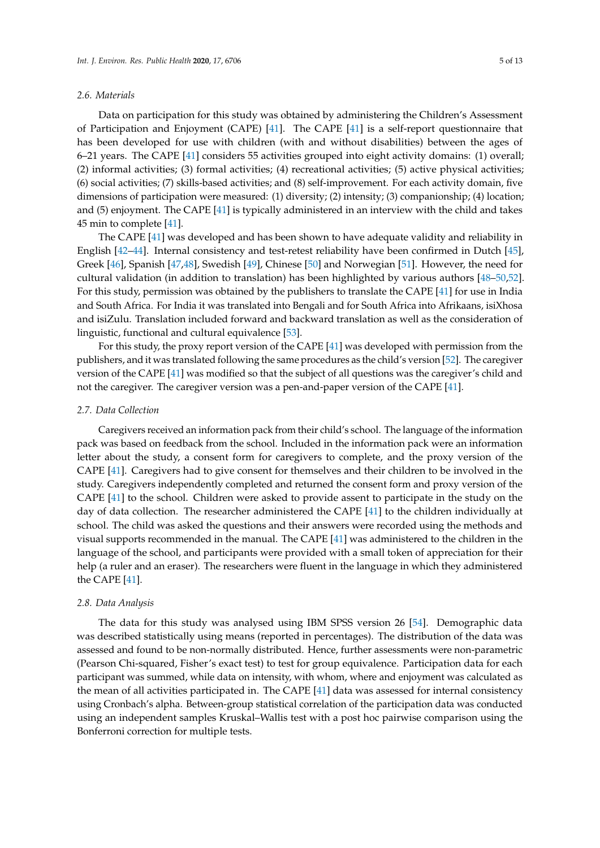#### *2.6. Materials*

Data on participation for this study was obtained by administering the Children's Assessment of Participation and Enjoyment (CAPE) [41]. The CAPE [41] is a self-report questionnaire that has been developed for use with children (with and without disabilities) between the ages of 6–21 years. The CAPE [41] considers 55 activities grouped into eight activity domains: (1) overall; (2) informal activities; (3) formal activities; (4) recreational activities; (5) active physical activities; (6) social activities; (7) skills-based activities; and (8) self-improvement. For each activity domain, five dimensions of participation were measured: (1) diversity; (2) intensity; (3) companionship; (4) location; and (5) enjoyment. The CAPE [41] is typically administered in an interview with the child and takes 45 min to complete [41].

The CAPE [41] was developed and has been shown to have adequate validity and reliability in English [42–44]. Internal consistency and test-retest reliability have been confirmed in Dutch [45], Greek [46], Spanish [47,48], Swedish [49], Chinese [50] and Norwegian [51]. However, the need for cultural validation (in addition to translation) has been highlighted by various authors [48–50,52]. For this study, permission was obtained by the publishers to translate the CAPE [41] for use in India and South Africa. For India it was translated into Bengali and for South Africa into Afrikaans, isiXhosa and isiZulu. Translation included forward and backward translation as well as the consideration of linguistic, functional and cultural equivalence [53].

For this study, the proxy report version of the CAPE [41] was developed with permission from the publishers, and it was translated following the same procedures as the child's version [52]. The caregiver version of the CAPE [41] was modified so that the subject of all questions was the caregiver's child and not the caregiver. The caregiver version was a pen-and-paper version of the CAPE [41].

#### *2.7. Data Collection*

Caregivers received an information pack from their child's school. The language of the information pack was based on feedback from the school. Included in the information pack were an information letter about the study, a consent form for caregivers to complete, and the proxy version of the CAPE [41]. Caregivers had to give consent for themselves and their children to be involved in the study. Caregivers independently completed and returned the consent form and proxy version of the CAPE [41] to the school. Children were asked to provide assent to participate in the study on the day of data collection. The researcher administered the CAPE [41] to the children individually at school. The child was asked the questions and their answers were recorded using the methods and visual supports recommended in the manual. The CAPE [41] was administered to the children in the language of the school, and participants were provided with a small token of appreciation for their help (a ruler and an eraser). The researchers were fluent in the language in which they administered the CAPE [41].

#### *2.8. Data Analysis*

The data for this study was analysed using IBM SPSS version 26 [54]. Demographic data was described statistically using means (reported in percentages). The distribution of the data was assessed and found to be non-normally distributed. Hence, further assessments were non-parametric (Pearson Chi-squared, Fisher's exact test) to test for group equivalence. Participation data for each participant was summed, while data on intensity, with whom, where and enjoyment was calculated as the mean of all activities participated in. The CAPE [41] data was assessed for internal consistency using Cronbach's alpha. Between-group statistical correlation of the participation data was conducted using an independent samples Kruskal–Wallis test with a post hoc pairwise comparison using the Bonferroni correction for multiple tests.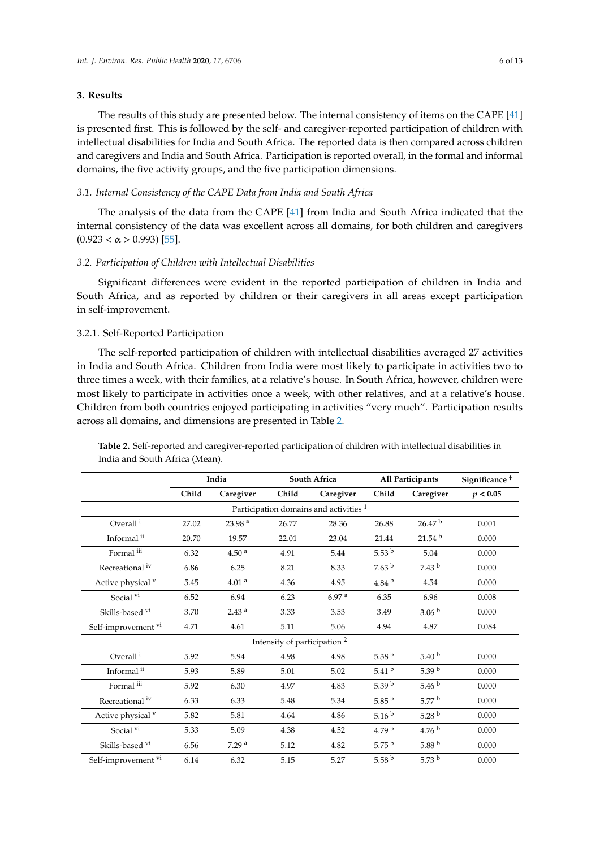## **3. Results**

The results of this study are presented below. The internal consistency of items on the CAPE [41] is presented first. This is followed by the self- and caregiver-reported participation of children with intellectual disabilities for India and South Africa. The reported data is then compared across children and caregivers and India and South Africa. Participation is reported overall, in the formal and informal domains, the five activity groups, and the five participation dimensions.

# *3.1. Internal Consistency of the CAPE Data from India and South Africa*

The analysis of the data from the CAPE [41] from India and South Africa indicated that the internal consistency of the data was excellent across all domains, for both children and caregivers  $(0.923 < \alpha > 0.993)$  [55].

#### *3.2. Participation of Children with Intellectual Disabilities*

Significant differences were evident in the reported participation of children in India and South Africa, and as reported by children or their caregivers in all areas except participation in self-improvement.

#### 3.2.1. Self-Reported Participation

The self-reported participation of children with intellectual disabilities averaged 27 activities in India and South Africa. Children from India were most likely to participate in activities two to three times a week, with their families, at a relative's house. In South Africa, however, children were most likely to participate in activities once a week, with other relatives, and at a relative's house. Children from both countries enjoyed participating in activities "very much". Participation results across all domains, and dimensions are presented in Table 2.

|                                                   | India |                    |       | South Africa      |                   | All Participants     | Significance <sup>+</sup> |  |  |
|---------------------------------------------------|-------|--------------------|-------|-------------------|-------------------|----------------------|---------------------------|--|--|
|                                                   | Child | Caregiver          | Child | Caregiver         | Child             | Caregiver            | p < 0.05                  |  |  |
| Participation domains and activities <sup>1</sup> |       |                    |       |                   |                   |                      |                           |  |  |
| Overall <sup>i</sup>                              | 27.02 | 23.98 <sup>a</sup> | 26.77 | 28.36             | 26.88             | 26.47 <sup>b</sup>   | 0.001                     |  |  |
| Informal <sup>ii</sup>                            | 20.70 | 19.57              | 22.01 | 23.04             | 21.44             | 21.54 <sup>b</sup>   | 0.000                     |  |  |
| Formal iii                                        | 6.32  | 4.50 <sup>a</sup>  | 4.91  | 5.44              | 5.53 $^{\rm b}$   | 5.04                 | 0.000                     |  |  |
| Recreational <sup>iv</sup>                        | 6.86  | 6.25               | 8.21  | 8.33              | 7.63 <sup>b</sup> | 7.43 <sup>b</sup>    | 0.000                     |  |  |
| Active physical V                                 | 5.45  | 4.01 <sup>a</sup>  | 4.36  | 4.95              | 4.84 <sup>b</sup> | 4.54                 | 0.000                     |  |  |
| Social vi                                         | 6.52  | 6.94               | 6.23  | 6.97 <sup>a</sup> | 6.35              | 6.96                 | 0.008                     |  |  |
| Skills-based <sup>vi</sup>                        | 3.70  | 2.43 <sup>a</sup>  | 3.33  | 3.53              | 3.49              | 3.06 <sup>b</sup>    | 0.000                     |  |  |
| Self-improvement vi                               | 4.71  | 4.61               | 5.11  | 5.06              | 4.94              | 4.87                 | 0.084                     |  |  |
| Intensity of participation <sup>2</sup>           |       |                    |       |                   |                   |                      |                           |  |  |
| Overall <sup>i</sup>                              | 5.92  | 5.94               | 4.98  | 4.98              | 5.38 $^{\rm b}$   | 5.40 $^{\rm b}$      | 0.000                     |  |  |
| Informal ii                                       | 5.93  | 5.89               | 5.01  | 5.02              | 5.41 <sup>b</sup> | 5.39 $^{\rm b}$      | 0.000                     |  |  |
| Formal iii                                        | 5.92  | 6.30               | 4.97  | 4.83              | 5.39 $^{\rm b}$   | 5.46 <sup>b</sup>    | 0.000                     |  |  |
| Recreational iv                                   | 6.33  | 6.33               | 5.48  | 5.34              | 5.85 $^{\rm b}$   | 5.77 <sup>b</sup>    | 0.000                     |  |  |
| Active physical <sup>v</sup>                      | 5.82  | 5.81               | 4.64  | 4.86              | 5.16 <sup>b</sup> | 5.28 <sup>b</sup>    | 0.000                     |  |  |
| Social vi                                         | 5.33  | 5.09               | 4.38  | 4.52              | 4.79 <sup>b</sup> | $4.76^{\mathrm{~b}}$ | 0.000                     |  |  |
| Skills-based vi                                   | 6.56  | 7.29 <sup>a</sup>  | 5.12  | 4.82              | 5.75 <sup>b</sup> | 5.88 $^{\rm b}$      | 0.000                     |  |  |
| Self-improvement vi                               | 6.14  | 6.32               | 5.15  | 5.27              | 5.58 $^{\rm b}$   | 5.73 $^{\rm b}$      | 0.000                     |  |  |

**Table 2.** Self-reported and caregiver-reported participation of children with intellectual disabilities in India and South Africa (Mean).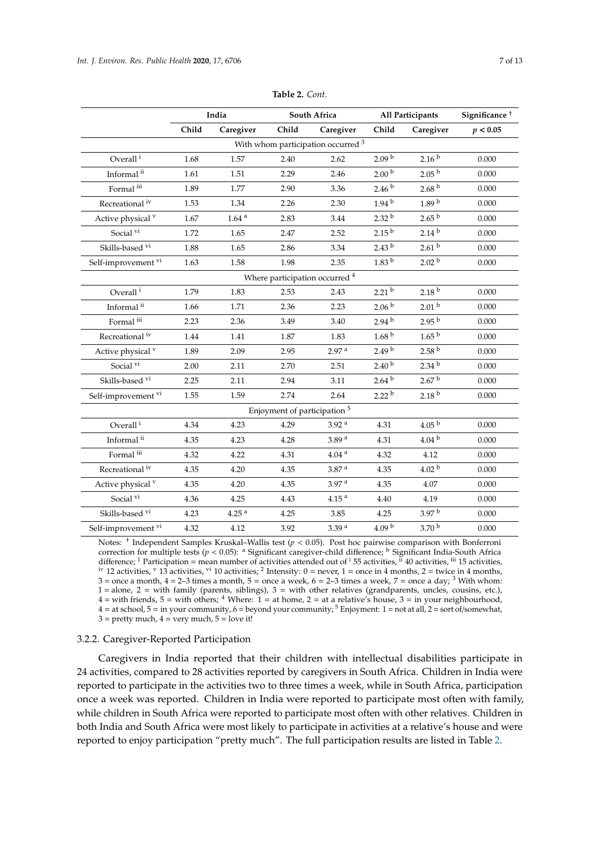|                                    | India                          |                   | South Africa |                   | All Participants  |                   | Significance <sup>+</sup> |  |  |
|------------------------------------|--------------------------------|-------------------|--------------|-------------------|-------------------|-------------------|---------------------------|--|--|
|                                    | Child                          | Caregiver         | Child        | Caregiver         | Child             | Caregiver         | p < 0.05                  |  |  |
| With whom participation occurred 3 |                                |                   |              |                   |                   |                   |                           |  |  |
| Overall <sup>i</sup>               | 1.68                           | 1.57              | 2.40         | 2.62              | 2.09 <sup>b</sup> | 2.16 <sup>b</sup> | 0.000                     |  |  |
| Informal ii                        | 1.61                           | 1.51              | 2.29         | 2.46              | 2.00 <sup>b</sup> | 2.05 <sup>b</sup> | 0.000                     |  |  |
| Formal iii                         | 1.89                           | 1.77              | 2.90         | 3.36              | 2.46 <sup>b</sup> | 2.68 <sup>b</sup> | 0.000                     |  |  |
| Recreational iv                    | 1.53                           | 1.34              | 2.26         | 2.30              | 1.94 <sup>b</sup> | 1.89 <sup>b</sup> | 0.000                     |  |  |
| Active physical <sup>v</sup>       | 1.67                           | $1.64$ $^{\rm a}$ | 2.83         | 3.44              | 2.32 <sup>b</sup> | 2.65 <sup>b</sup> | 0.000                     |  |  |
| Social vi                          | 1.72                           | 1.65              | 2.47         | 2.52              | 2.15 <sup>b</sup> | 2.14 <sup>b</sup> | 0.000                     |  |  |
| Skills-based vi                    | 1.88                           | 1.65              | 2.86         | 3.34              | 2.43 <sup>b</sup> | 2.61 <sup>b</sup> | 0.000                     |  |  |
| Self-improvement vi                | 1.63                           | 1.58              | 1.98         | 2.35              | 1.83 <sup>b</sup> | 2.02 <sup>b</sup> | 0.000                     |  |  |
|                                    | Where participation occurred 4 |                   |              |                   |                   |                   |                           |  |  |
| Overall <sup>i</sup>               | 1.79                           | 1.83              | 2.53         | 2.43              | 2.21 <sup>b</sup> | 2.18 <sup>b</sup> | 0.000                     |  |  |
| Informal <sup>ii</sup>             | 1.66                           | 1.71              | 2.36         | 2.23              | 2.06 <sup>b</sup> | 2.01 <sup>b</sup> | 0.000                     |  |  |
| Formal iii                         | 2.23                           | 2.36              | 3.49         | 3.40              | 2.94 <sup>b</sup> | 2.95 <sup>b</sup> | 0.000                     |  |  |
| Recreational iv                    | 1.44                           | 1.41              | 1.87         | 1.83              | $1.68^{\,\rm b}$  | 1.65 <sup>b</sup> | 0.000                     |  |  |
| Active physical <sup>v</sup>       | 1.89                           | 2.09              | 2.95         | 2.97 <sup>a</sup> | 2.49 <sup>b</sup> | 2.58 <sup>b</sup> | 0.000                     |  |  |
| Social vi                          | 2.00                           | 2.11              | 2.70         | 2.51              | 2.40 <sup>b</sup> | 2.34 <sup>b</sup> | 0.000                     |  |  |
| Skills-based <sup>vi</sup>         | 2.25                           | 2.11              | 2.94         | 3.11              | 2.64 <sup>b</sup> | 2.67 <sup>b</sup> | 0.000                     |  |  |
| Self-improvement vi                | 1.55                           | 1.59              | 2.74         | 2.64              | 2.22 <sup>b</sup> | 2.18 <sup>b</sup> | 0.000                     |  |  |
| Enjoyment of participation $^5$    |                                |                   |              |                   |                   |                   |                           |  |  |
| Overall <sup>i</sup>               | 4.34                           | 4.23              | 4.29         | 3.92 <sup>a</sup> | 4.31              | $4.05^{\,\rm b}$  | 0.000                     |  |  |
| Informal <sup>ii</sup>             | 4.35                           | 4.23              | 4.28         | 3.89 <sup>a</sup> | 4.31              | $4.04$ $^{\rm b}$ | 0.000                     |  |  |
| Formal iii                         | 4.32                           | 4.22              | 4.31         | 4.04 <sup>a</sup> | 4.32              | 4.12              | 0.000                     |  |  |
| Recreational iv                    | 4.35                           | 4.20              | 4.35         | 3.87 <sup>a</sup> | 4.35              | 4.02 <sup>b</sup> | 0.000                     |  |  |
| Active physical <sup>v</sup>       | 4.35                           | 4.20              | 4.35         | 3.97 <sup>a</sup> | 4.35              | 4.07              | 0.000                     |  |  |
| Social vi                          | 4.36                           | 4.25              | 4.43         | $4.15$ $^{\rm a}$ | 4.40              | 4.19              | 0.000                     |  |  |
| Skills-based <sup>vi</sup>         | 4.23                           | 4.25 <sup>a</sup> | 4.25         | 3.85              | 4.25              | 3.97 <sup>b</sup> | 0.000                     |  |  |
| Self-improvement vi                | 4.32                           | 4.12              | 3.92         | 3.39 <sup>a</sup> | $4.09\ ^{\rm b}$  | 3.70 <sup>b</sup> | 0.000                     |  |  |
|                                    |                                |                   |              |                   |                   |                   |                           |  |  |

**Table 2.** *Cont.*

Notes: † Independent Samples Kruskal–Wallis test (*p* < 0.05). Post hoc pairwise comparison with Bonferroni correction for multiple tests (*p* < 0.05): <sup>a</sup> Significant caregiver-child difference; <sup>b</sup> Significant India-South Africa difference; <sup>1</sup> Participation = mean number of activities attended out of <sup>i</sup> 55 activities,  $\frac{1}{11}$  40 activities, iii 15 activities, <sup>iv</sup> 12 activities, <sup>v</sup> 13 activities, <sup>vi</sup> 10 activities; <sup>2</sup> Intensity: 0 = never, 1 = once in 4 months, 2 = twice in 4 months, 3 = once a month, 4 = 2–3 times a month, 5 = once a week, 6 = 2–3 times a week, 7 = once a day; 3 With whom:  $1 =$  alone,  $2 =$  with family (parents, siblings),  $3 =$  with other relatives (grandparents, uncles, cousins, etc.),  $4 =$  with friends,  $5 =$  with others;  $4$  Where:  $1 =$  at home,  $2 =$  at a relative's house,  $3 =$  in your neighbourhood,

 $4 =$  at school,  $5 =$  in your community,  $6 =$  beyond your community;  $5$  Enjoyment:  $1 =$  not at all,  $2 =$  sort of/somewhat,

 $3 =$  pretty much,  $4 =$  very much,  $5 =$  love it!

#### 3.2.2. Caregiver-Reported Participation

Caregivers in India reported that their children with intellectual disabilities participate in 24 activities, compared to 28 activities reported by caregivers in South Africa. Children in India were reported to participate in the activities two to three times a week, while in South Africa, participation once a week was reported. Children in India were reported to participate most often with family, while children in South Africa were reported to participate most often with other relatives. Children in both India and South Africa were most likely to participate in activities at a relative's house and were reported to enjoy participation "pretty much". The full participation results are listed in Table 2.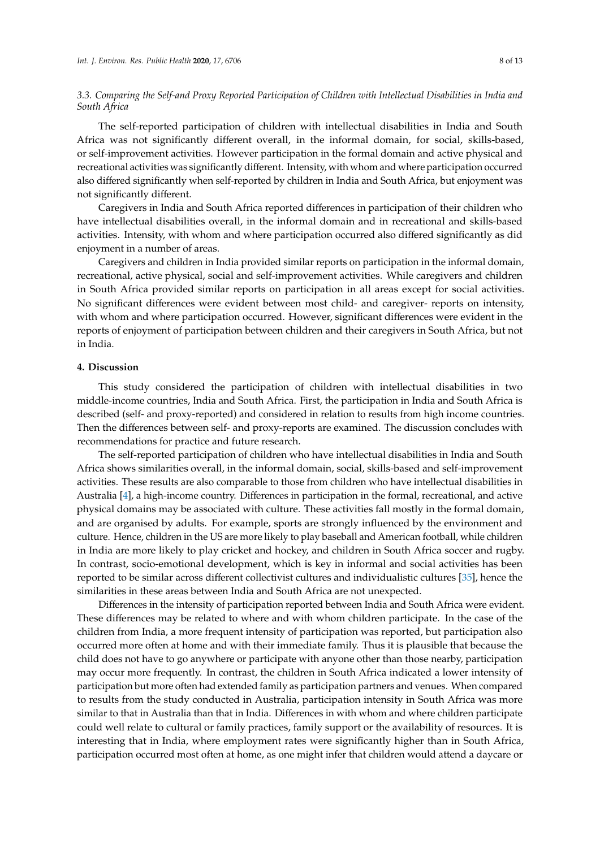# *3.3. Comparing the Self-and Proxy Reported Participation of Children with Intellectual Disabilities in India and South Africa*

The self-reported participation of children with intellectual disabilities in India and South Africa was not significantly different overall, in the informal domain, for social, skills-based, or self-improvement activities. However participation in the formal domain and active physical and recreational activities was significantly different. Intensity, with whom and where participation occurred also differed significantly when self-reported by children in India and South Africa, but enjoyment was not significantly different.

Caregivers in India and South Africa reported differences in participation of their children who have intellectual disabilities overall, in the informal domain and in recreational and skills-based activities. Intensity, with whom and where participation occurred also differed significantly as did enjoyment in a number of areas.

Caregivers and children in India provided similar reports on participation in the informal domain, recreational, active physical, social and self-improvement activities. While caregivers and children in South Africa provided similar reports on participation in all areas except for social activities. No significant differences were evident between most child- and caregiver- reports on intensity, with whom and where participation occurred. However, significant differences were evident in the reports of enjoyment of participation between children and their caregivers in South Africa, but not in India.

## **4. Discussion**

This study considered the participation of children with intellectual disabilities in two middle-income countries, India and South Africa. First, the participation in India and South Africa is described (self- and proxy-reported) and considered in relation to results from high income countries. Then the differences between self- and proxy-reports are examined. The discussion concludes with recommendations for practice and future research.

The self-reported participation of children who have intellectual disabilities in India and South Africa shows similarities overall, in the informal domain, social, skills-based and self-improvement activities. These results are also comparable to those from children who have intellectual disabilities in Australia [4], a high-income country. Differences in participation in the formal, recreational, and active physical domains may be associated with culture. These activities fall mostly in the formal domain, and are organised by adults. For example, sports are strongly influenced by the environment and culture. Hence, children in the US are more likely to play baseball and American football, while children in India are more likely to play cricket and hockey, and children in South Africa soccer and rugby. In contrast, socio-emotional development, which is key in informal and social activities has been reported to be similar across different collectivist cultures and individualistic cultures [35], hence the similarities in these areas between India and South Africa are not unexpected.

Differences in the intensity of participation reported between India and South Africa were evident. These differences may be related to where and with whom children participate. In the case of the children from India, a more frequent intensity of participation was reported, but participation also occurred more often at home and with their immediate family. Thus it is plausible that because the child does not have to go anywhere or participate with anyone other than those nearby, participation may occur more frequently. In contrast, the children in South Africa indicated a lower intensity of participation but more often had extended family as participation partners and venues. When compared to results from the study conducted in Australia, participation intensity in South Africa was more similar to that in Australia than that in India. Differences in with whom and where children participate could well relate to cultural or family practices, family support or the availability of resources. It is interesting that in India, where employment rates were significantly higher than in South Africa, participation occurred most often at home, as one might infer that children would attend a daycare or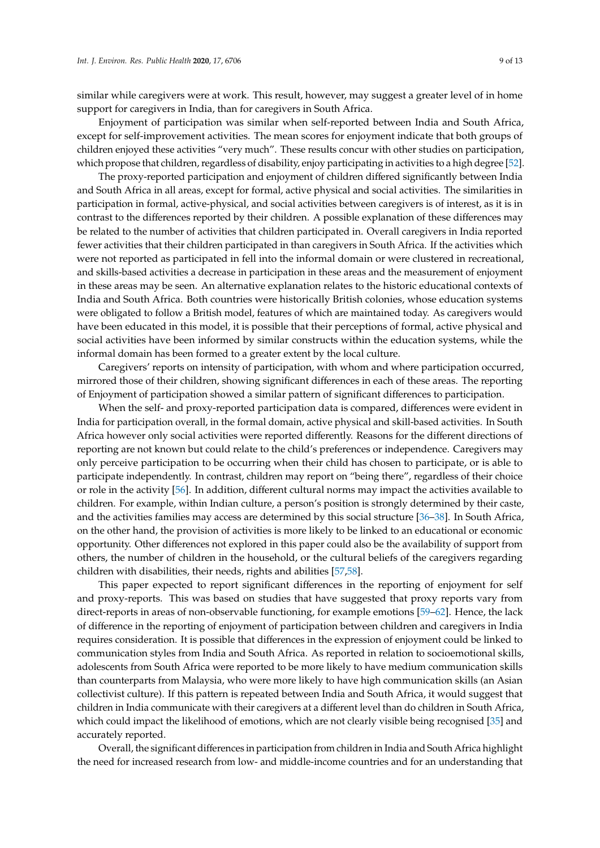similar while caregivers were at work. This result, however, may suggest a greater level of in home support for caregivers in India, than for caregivers in South Africa.

Enjoyment of participation was similar when self-reported between India and South Africa, except for self-improvement activities. The mean scores for enjoyment indicate that both groups of children enjoyed these activities "very much". These results concur with other studies on participation, which propose that children, regardless of disability, enjoy participating in activities to a high degree [52].

The proxy-reported participation and enjoyment of children differed significantly between India and South Africa in all areas, except for formal, active physical and social activities. The similarities in participation in formal, active-physical, and social activities between caregivers is of interest, as it is in contrast to the differences reported by their children. A possible explanation of these differences may be related to the number of activities that children participated in. Overall caregivers in India reported fewer activities that their children participated in than caregivers in South Africa. If the activities which were not reported as participated in fell into the informal domain or were clustered in recreational, and skills-based activities a decrease in participation in these areas and the measurement of enjoyment in these areas may be seen. An alternative explanation relates to the historic educational contexts of India and South Africa. Both countries were historically British colonies, whose education systems were obligated to follow a British model, features of which are maintained today. As caregivers would have been educated in this model, it is possible that their perceptions of formal, active physical and social activities have been informed by similar constructs within the education systems, while the informal domain has been formed to a greater extent by the local culture.

Caregivers' reports on intensity of participation, with whom and where participation occurred, mirrored those of their children, showing significant differences in each of these areas. The reporting of Enjoyment of participation showed a similar pattern of significant differences to participation.

When the self- and proxy-reported participation data is compared, differences were evident in India for participation overall, in the formal domain, active physical and skill-based activities. In South Africa however only social activities were reported differently. Reasons for the different directions of reporting are not known but could relate to the child's preferences or independence. Caregivers may only perceive participation to be occurring when their child has chosen to participate, or is able to participate independently. In contrast, children may report on "being there", regardless of their choice or role in the activity [56]. In addition, different cultural norms may impact the activities available to children. For example, within Indian culture, a person's position is strongly determined by their caste, and the activities families may access are determined by this social structure [36–38]. In South Africa, on the other hand, the provision of activities is more likely to be linked to an educational or economic opportunity. Other differences not explored in this paper could also be the availability of support from others, the number of children in the household, or the cultural beliefs of the caregivers regarding children with disabilities, their needs, rights and abilities [57,58].

This paper expected to report significant differences in the reporting of enjoyment for self and proxy-reports. This was based on studies that have suggested that proxy reports vary from direct-reports in areas of non-observable functioning, for example emotions [59–62]. Hence, the lack of difference in the reporting of enjoyment of participation between children and caregivers in India requires consideration. It is possible that differences in the expression of enjoyment could be linked to communication styles from India and South Africa. As reported in relation to socioemotional skills, adolescents from South Africa were reported to be more likely to have medium communication skills than counterparts from Malaysia, who were more likely to have high communication skills (an Asian collectivist culture). If this pattern is repeated between India and South Africa, it would suggest that children in India communicate with their caregivers at a different level than do children in South Africa, which could impact the likelihood of emotions, which are not clearly visible being recognised [35] and accurately reported.

Overall, the significant differences in participation from children in India and South Africa highlight the need for increased research from low- and middle-income countries and for an understanding that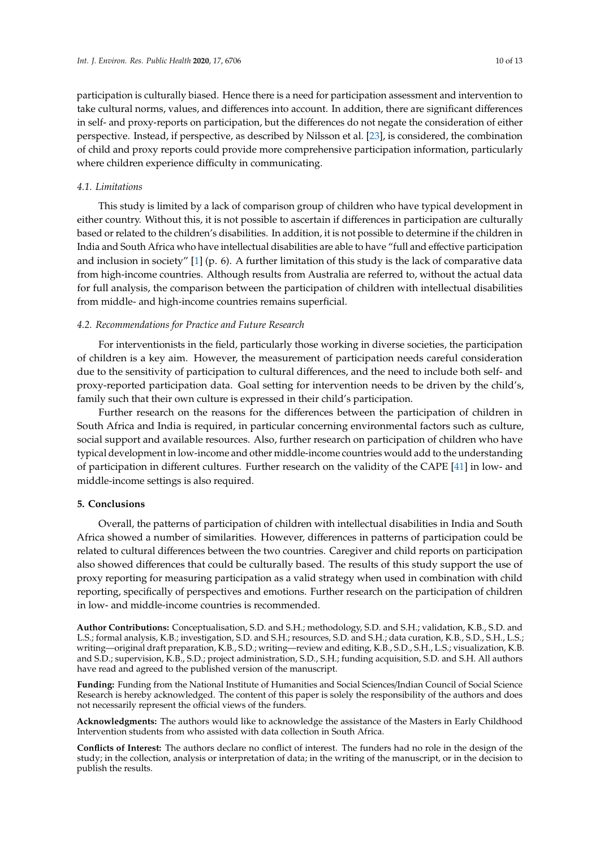participation is culturally biased. Hence there is a need for participation assessment and intervention to take cultural norms, values, and differences into account. In addition, there are significant differences in self- and proxy-reports on participation, but the differences do not negate the consideration of either perspective. Instead, if perspective, as described by Nilsson et al. [23], is considered, the combination of child and proxy reports could provide more comprehensive participation information, particularly

#### *4.1. Limitations*

This study is limited by a lack of comparison group of children who have typical development in either country. Without this, it is not possible to ascertain if differences in participation are culturally based or related to the children's disabilities. In addition, it is not possible to determine if the children in India and South Africa who have intellectual disabilities are able to have "full and effective participation and inclusion in society"  $[1]$  (p. 6). A further limitation of this study is the lack of comparative data from high-income countries. Although results from Australia are referred to, without the actual data for full analysis, the comparison between the participation of children with intellectual disabilities from middle- and high-income countries remains superficial.

## *4.2. Recommendations for Practice and Future Research*

where children experience difficulty in communicating.

For interventionists in the field, particularly those working in diverse societies, the participation of children is a key aim. However, the measurement of participation needs careful consideration due to the sensitivity of participation to cultural differences, and the need to include both self- and proxy-reported participation data. Goal setting for intervention needs to be driven by the child's, family such that their own culture is expressed in their child's participation.

Further research on the reasons for the differences between the participation of children in South Africa and India is required, in particular concerning environmental factors such as culture, social support and available resources. Also, further research on participation of children who have typical development in low-income and other middle-income countries would add to the understanding of participation in different cultures. Further research on the validity of the CAPE [41] in low- and middle-income settings is also required.

#### **5. Conclusions**

Overall, the patterns of participation of children with intellectual disabilities in India and South Africa showed a number of similarities. However, differences in patterns of participation could be related to cultural differences between the two countries. Caregiver and child reports on participation also showed differences that could be culturally based. The results of this study support the use of proxy reporting for measuring participation as a valid strategy when used in combination with child reporting, specifically of perspectives and emotions. Further research on the participation of children in low- and middle-income countries is recommended.

**Author Contributions:** Conceptualisation, S.D. and S.H.; methodology, S.D. and S.H.; validation, K.B., S.D. and L.S.; formal analysis, K.B.; investigation, S.D. and S.H.; resources, S.D. and S.H.; data curation, K.B., S.D., S.H., L.S.; writing—original draft preparation, K.B., S.D.; writing—review and editing, K.B., S.D., S.H., L.S.; visualization, K.B. and S.D.; supervision, K.B., S.D.; project administration, S.D., S.H.; funding acquisition, S.D. and S.H. All authors have read and agreed to the published version of the manuscript.

**Funding:** Funding from the National Institute of Humanities and Social Sciences/Indian Council of Social Science Research is hereby acknowledged. The content of this paper is solely the responsibility of the authors and does not necessarily represent the official views of the funders.

**Acknowledgments:** The authors would like to acknowledge the assistance of the Masters in Early Childhood Intervention students from who assisted with data collection in South Africa.

**Conflicts of Interest:** The authors declare no conflict of interest. The funders had no role in the design of the study; in the collection, analysis or interpretation of data; in the writing of the manuscript, or in the decision to publish the results.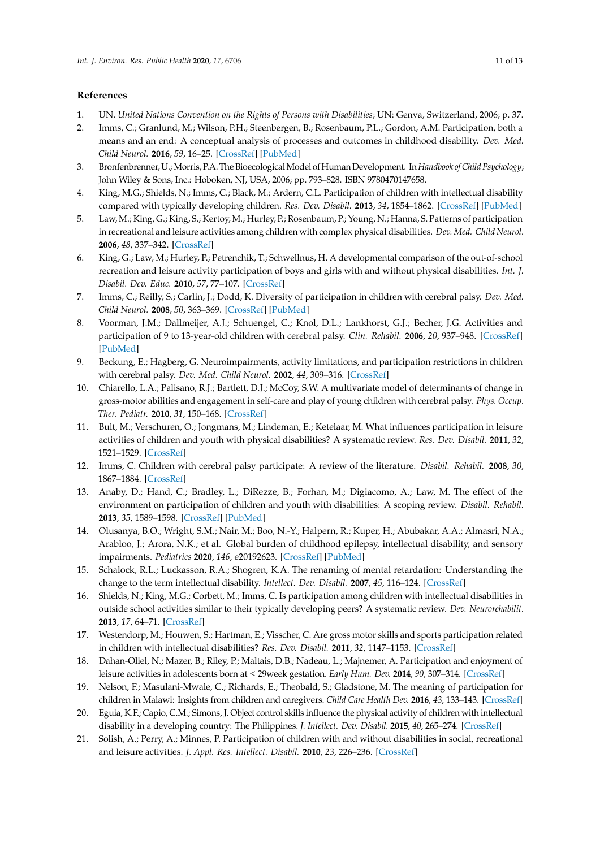# **References**

- 1. UN. *United Nations Convention on the Rights of Persons with Disabilities*; UN: Genva, Switzerland, 2006; p. 37.
- 2. Imms, C.; Granlund, M.; Wilson, P.H.; Steenbergen, B.; Rosenbaum, P.L.; Gordon, A.M. Participation, both a means and an end: A conceptual analysis of processes and outcomes in childhood disability. *Dev. Med. Child Neurol.* **2016**, *59*, 16–25. [CrossRef] [PubMed]
- 3. Bronfenbrenner, U.; Morris, P.A. The BioecologicalModel of Human Development. In*Handbook of Child Psychology*; John Wiley & Sons, Inc.: Hoboken, NJ, USA, 2006; pp. 793–828. ISBN 9780470147658.
- 4. King, M.G.; Shields, N.; Imms, C.; Black, M.; Ardern, C.L. Participation of children with intellectual disability compared with typically developing children. *Res. Dev. Disabil.* **2013**, *34*, 1854–1862. [CrossRef] [PubMed]
- 5. Law, M.; King, G.; King, S.; Kertoy, M.; Hurley, P.; Rosenbaum, P.; Young, N.; Hanna, S. Patterns of participation in recreational and leisure activities among children with complex physical disabilities. *Dev. Med. Child Neurol.* **2006**, *48*, 337–342. [CrossRef]
- 6. King, G.; Law, M.; Hurley, P.; Petrenchik, T.; Schwellnus, H. A developmental comparison of the out-of-school recreation and leisure activity participation of boys and girls with and without physical disabilities. *Int. J. Disabil. Dev. Educ.* **2010**, *57*, 77–107. [CrossRef]
- 7. Imms, C.; Reilly, S.; Carlin, J.; Dodd, K. Diversity of participation in children with cerebral palsy. *Dev. Med. Child Neurol.* **2008**, *50*, 363–369. [CrossRef] [PubMed]
- 8. Voorman, J.M.; Dallmeijer, A.J.; Schuengel, C.; Knol, D.L.; Lankhorst, G.J.; Becher, J.G. Activities and participation of 9 to 13-year-old children with cerebral palsy. *Clin. Rehabil.* **2006**, *20*, 937–948. [CrossRef] [PubMed]
- 9. Beckung, E.; Hagberg, G. Neuroimpairments, activity limitations, and participation restrictions in children with cerebral palsy. *Dev. Med. Child Neurol.* **2002**, *44*, 309–316. [CrossRef]
- 10. Chiarello, L.A.; Palisano, R.J.; Bartlett, D.J.; McCoy, S.W. A multivariate model of determinants of change in gross-motor abilities and engagement in self-care and play of young children with cerebral palsy. *Phys. Occup. Ther. Pediatr.* **2010**, *31*, 150–168. [CrossRef]
- 11. Bult, M.; Verschuren, O.; Jongmans, M.; Lindeman, E.; Ketelaar, M. What influences participation in leisure activities of children and youth with physical disabilities? A systematic review. *Res. Dev. Disabil.* **2011**, *32*, 1521–1529. [CrossRef]
- 12. Imms, C. Children with cerebral palsy participate: A review of the literature. *Disabil. Rehabil.* **2008**, *30*, 1867–1884. [CrossRef]
- 13. Anaby, D.; Hand, C.; Bradley, L.; DiRezze, B.; Forhan, M.; Digiacomo, A.; Law, M. The effect of the environment on participation of children and youth with disabilities: A scoping review. *Disabil. Rehabil.* **2013**, *35*, 1589–1598. [CrossRef] [PubMed]
- 14. Olusanya, B.O.; Wright, S.M.; Nair, M.; Boo, N.-Y.; Halpern, R.; Kuper, H.; Abubakar, A.A.; Almasri, N.A.; Arabloo, J.; Arora, N.K.; et al. Global burden of childhood epilepsy, intellectual disability, and sensory impairments. *Pediatrics* **2020**, *146*, e20192623. [CrossRef] [PubMed]
- 15. Schalock, R.L.; Luckasson, R.A.; Shogren, K.A. The renaming of mental retardation: Understanding the change to the term intellectual disability. *Intellect. Dev. Disabil.* **2007**, *45*, 116–124. [CrossRef]
- 16. Shields, N.; King, M.G.; Corbett, M.; Imms, C. Is participation among children with intellectual disabilities in outside school activities similar to their typically developing peers? A systematic review. *Dev. Neurorehabilit.* **2013**, *17*, 64–71. [CrossRef]
- 17. Westendorp, M.; Houwen, S.; Hartman, E.; Visscher, C. Are gross motor skills and sports participation related in children with intellectual disabilities? *Res. Dev. Disabil.* **2011**, *32*, 1147–1153. [CrossRef]
- 18. Dahan-Oliel, N.; Mazer, B.; Riley, P.; Maltais, D.B.; Nadeau, L.; Majnemer, A. Participation and enjoyment of leisure activities in adolescents born at ≤ 29week gestation. *Early Hum. Dev.* **2014**, *90*, 307–314. [CrossRef]
- 19. Nelson, F.; Masulani-Mwale, C.; Richards, E.; Theobald, S.; Gladstone, M. The meaning of participation for children in Malawi: Insights from children and caregivers. *Child Care Health Dev.* **2016**, *43*, 133–143. [CrossRef]
- 20. Eguia, K.F.; Capio, C.M.; Simons, J. Object control skills influence the physical activity of children with intellectual disability in a developing country: The Philippines. *J. Intellect. Dev. Disabil.* **2015**, *40*, 265–274. [CrossRef]
- 21. Solish, A.; Perry, A.; Minnes, P. Participation of children with and without disabilities in social, recreational and leisure activities. *J. Appl. Res. Intellect. Disabil.* **2010**, *23*, 226–236. [CrossRef]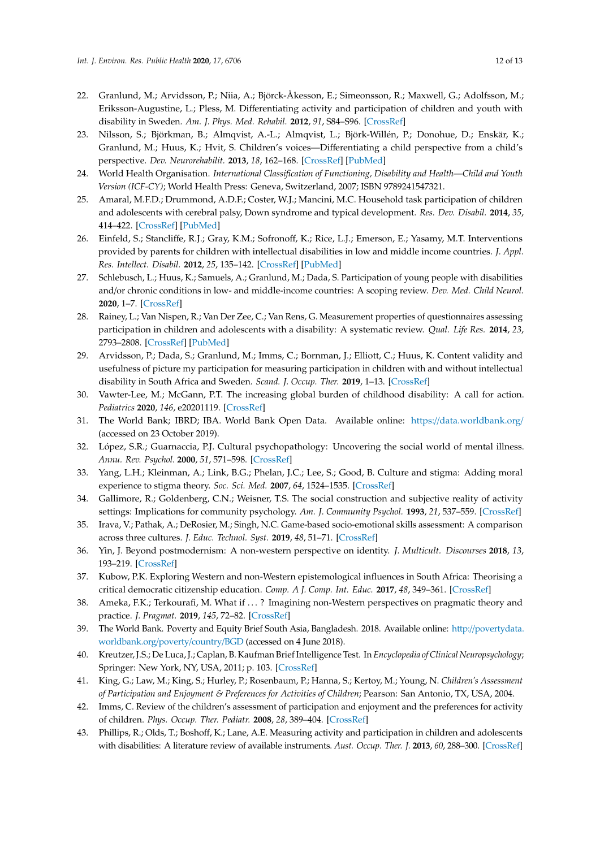- 22. Granlund, M.; Arvidsson, P.; Niia, A.; Björck-Åkesson, E.; Simeonsson, R.; Maxwell, G.; Adolfsson, M.; Eriksson-Augustine, L.; Pless, M. Differentiating activity and participation of children and youth with disability in Sweden. *Am. J. Phys. Med. Rehabil.* **2012**, *91*, S84–S96. [CrossRef]
- 23. Nilsson, S.; Björkman, B.; Almqvist, A.-L.; Almqvist, L.; Björk-Willén, P.; Donohue, D.; Enskär, K.; Granlund, M.; Huus, K.; Hvit, S. Children's voices—Differentiating a child perspective from a child's perspective. *Dev. Neurorehabilit.* **2013**, *18*, 162–168. [CrossRef] [PubMed]
- 24. World Health Organisation. *International Classification of Functioning, Disability and Health—Child and Youth Version (ICF-CY)*; World Health Press: Geneva, Switzerland, 2007; ISBN 9789241547321.
- 25. Amaral, M.F.D.; Drummond, A.D.F.; Coster, W.J.; Mancini, M.C. Household task participation of children and adolescents with cerebral palsy, Down syndrome and typical development. *Res. Dev. Disabil.* **2014**, *35*, 414–422. [CrossRef] [PubMed]
- 26. Einfeld, S.; Stancliffe, R.J.; Gray, K.M.; Sofronoff, K.; Rice, L.J.; Emerson, E.; Yasamy, M.T. Interventions provided by parents for children with intellectual disabilities in low and middle income countries. *J. Appl. Res. Intellect. Disabil.* **2012**, *25*, 135–142. [CrossRef] [PubMed]
- 27. Schlebusch, L.; Huus, K.; Samuels, A.; Granlund, M.; Dada, S. Participation of young people with disabilities and/or chronic conditions in low- and middle-income countries: A scoping review. *Dev. Med. Child Neurol.* **2020**, 1–7. [CrossRef]
- 28. Rainey, L.; Van Nispen, R.; Van Der Zee, C.; Van Rens, G. Measurement properties of questionnaires assessing participation in children and adolescents with a disability: A systematic review. *Qual. Life Res.* **2014**, *23*, 2793–2808. [CrossRef] [PubMed]
- 29. Arvidsson, P.; Dada, S.; Granlund, M.; Imms, C.; Bornman, J.; Elliott, C.; Huus, K. Content validity and usefulness of picture my participation for measuring participation in children with and without intellectual disability in South Africa and Sweden. *Scand. J. Occup. Ther.* **2019**, 1–13. [CrossRef]
- 30. Vawter-Lee, M.; McGann, P.T. The increasing global burden of childhood disability: A call for action. *Pediatrics* **2020**, *146*, e20201119. [CrossRef]
- 31. The World Bank; IBRD; IBA. World Bank Open Data. Available online: https://data.worldbank.org/ (accessed on 23 October 2019).
- 32. López, S.R.; Guarnaccia, P.J. Cultural psychopathology: Uncovering the social world of mental illness. *Annu. Rev. Psychol.* **2000**, *51*, 571–598. [CrossRef]
- 33. Yang, L.H.; Kleinman, A.; Link, B.G.; Phelan, J.C.; Lee, S.; Good, B. Culture and stigma: Adding moral experience to stigma theory. *Soc. Sci. Med.* **2007**, *64*, 1524–1535. [CrossRef]
- 34. Gallimore, R.; Goldenberg, C.N.; Weisner, T.S. The social construction and subjective reality of activity settings: Implications for community psychology. *Am. J. Community Psychol.* **1993**, *21*, 537–559. [CrossRef]
- 35. Irava, V.; Pathak, A.; DeRosier, M.; Singh, N.C. Game-based socio-emotional skills assessment: A comparison across three cultures. *J. Educ. Technol. Syst.* **2019**, *48*, 51–71. [CrossRef]
- 36. Yin, J. Beyond postmodernism: A non-western perspective on identity. *J. Multicult. Discourses* **2018**, *13*, 193–219. [CrossRef]
- 37. Kubow, P.K. Exploring Western and non-Western epistemological influences in South Africa: Theorising a critical democratic citizenship education. *Comp. A J. Comp. Int. Educ.* **2017**, *48*, 349–361. [CrossRef]
- 38. Ameka, F.K.; Terkourafi, M. What if . . . ? Imagining non-Western perspectives on pragmatic theory and practice. *J. Pragmat.* **2019**, *145*, 72–82. [CrossRef]
- 39. The World Bank. Poverty and Equity Brief South Asia, Bangladesh. 2018. Available online: http://povertydata. worldbank.org/poverty/country/BGD (accessed on 4 June 2018).
- 40. Kreutzer, J.S.; De Luca, J.; Caplan, B. Kaufman Brief Intelligence Test. In *Encyclopedia of Clinical Neuropsychology*; Springer: New York, NY, USA, 2011; p. 103. [CrossRef]
- 41. King, G.; Law, M.; King, S.; Hurley, P.; Rosenbaum, P.; Hanna, S.; Kertoy, M.; Young, N. *Children's Assessment of Participation and Enjoyment & Preferences for Activities of Children*; Pearson: San Antonio, TX, USA, 2004.
- 42. Imms, C. Review of the children's assessment of participation and enjoyment and the preferences for activity of children. *Phys. Occup. Ther. Pediatr.* **2008**, *28*, 389–404. [CrossRef]
- 43. Phillips, R.; Olds, T.; Boshoff, K.; Lane, A.E. Measuring activity and participation in children and adolescents with disabilities: A literature review of available instruments. *Aust. Occup. Ther. J.* **2013**, *60*, 288–300. [CrossRef]